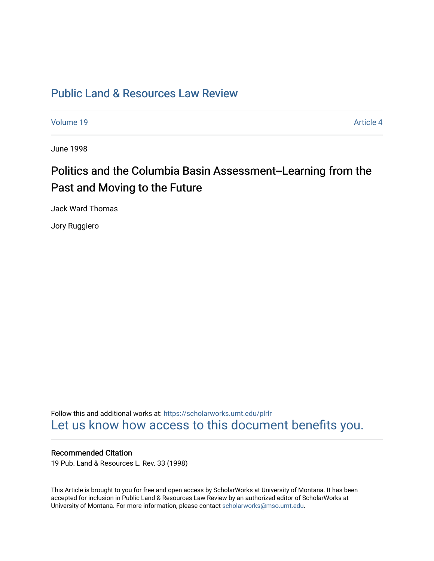## [Public Land & Resources Law Review](https://scholarworks.umt.edu/plrlr)

[Volume 19](https://scholarworks.umt.edu/plrlr/vol19) Article 4

June 1998

# Politics and the Columbia Basin Assessment--Learning from the Past and Moving to the Future

Jack Ward Thomas

Jory Ruggiero

Follow this and additional works at: [https://scholarworks.umt.edu/plrlr](https://scholarworks.umt.edu/plrlr?utm_source=scholarworks.umt.edu%2Fplrlr%2Fvol19%2Fiss1%2F4&utm_medium=PDF&utm_campaign=PDFCoverPages)  [Let us know how access to this document benefits you.](https://goo.gl/forms/s2rGfXOLzz71qgsB2) 

## Recommended Citation

19 Pub. Land & Resources L. Rev. 33 (1998)

This Article is brought to you for free and open access by ScholarWorks at University of Montana. It has been accepted for inclusion in Public Land & Resources Law Review by an authorized editor of ScholarWorks at University of Montana. For more information, please contact [scholarworks@mso.umt.edu.](mailto:scholarworks@mso.umt.edu)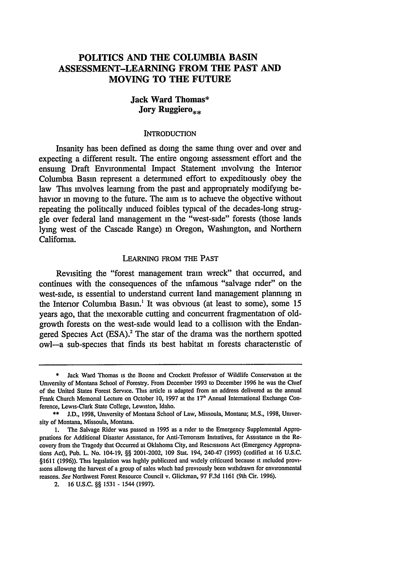## **POLITICS AND THE COLUMBIA BASIN ASSESSMENT-LEARNING FROM THE PAST AND MOVING TO THE FUTURE**

## **Jack Ward Thomas\* Jory Ruggiero**<sub>\*\*</sub>

#### **INTRODUCTION**

Insanity **has** been defined **as** doing the same thing over and over and expecting a different result. The entire ongoing assessment effort and the ensuing Draft Environmental Impact Statement involving the Interior Columbia Basin represent a determined effort to expeditiously obey the law This involves learning from the past and appropriately modifying behavior in moving to the future. The aim is to achieve the objective without repeating the politically induced foibles typical of the decades-long struggle over federal land management in the "west-side" forests (those lands lying west of the Cascade Range) in Oregon, Washington, and Northern California.

#### LEARNING FROM THE **PAST**

Revisiting the "forest management train wreck" that occurred, and continues with the consequences of the infamous "salvage rider" on the west-side, is essential to understand current land management planning in the Interior Columbia Basin.' It was obvious (at least to some), some 15 years ago, that the inexorable cutting and concurrent fragmentation of oldgrowth forests on the west-side would lead to a collision with the Endangered Species Act (ESA).<sup>2</sup> The star of the drama was the northern spotted owl-a sub-species that finds its best habitat in forests characteristic of

Jack Ward Thomas is the Boone and Crockett Professor of Wildlife Conservation at the University of Montana School of Forestry. From December 1993 to December 1996 he was the Chief of the United States Forest Service. This article is adapted from an address delivered as the annual Frank Church Memorial Lecture on October **10,** 1997 at the **17'** Annual International Exchange Conference, Lewis-Clark State College, Lewiston, Idaho.

<sup>\*\*</sup> **J.D., 1998,** University of Montana School of Law, Missoula, Montana; **M.S.,** 1998, University of Montana, Missoula, Montana.

**<sup>1.</sup>** The Salvage Rider was passed in 1995 as a rider to the Emergency Supplemental Appropriations for Additional Disaster Assistance, for Anti-Terronsm Initiatives, for Assistance in the Recovery from the Tragedy that Occurred at Oklahoma City, and Rescissions Act (Emergency Appropriations Act), Pub. L. No. 104-19, **§§** 2001-2002, **109** Stat. 194, 240-47 (1995) (codified at 16 **U.S.C.** §1611 (1996)). This legislation was highly publicized and widely criticized because it included provisions allowing the harvest of a group of sales which had previously been withdrawn for environmental reasons. See Northwest Forest Resource Council v. Glickman, 97 **F.3d 1161** (9th Cir. 1996).

<sup>2.</sup> **16 U.S.C. §§ 1531** - 1544 **(1997).**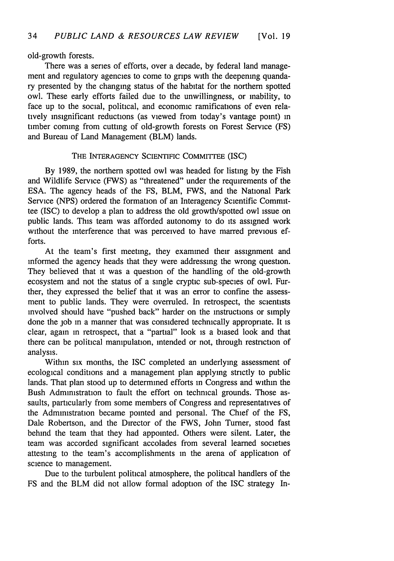#### old-growth forests.

There was a series of efforts, over a decade, by federal land management and regulatory agencies to come to grips with the deepening quandary presented by the changing status of the habitat for the northern spotted owl. These early efforts failed due to the unwillingness, or inability, to face up to the social, political, and economic ramifications of even relatively insignificant reductions (as viewed from today's vantage point) in timber coming from cutting of old-growth forests on Forest Service (FS) and Bureau of Land Management (BLM) lands.

#### THE INTERAGENCY SCIENTIFIC COMMITTEE (ISC)

By 1989, the northern spotted owl was headed for listing by the Fish and Wildlife Service (FWS) as "threatened" under the requirements of the ESA. The agency heads of the FS, BLM, FWS, and the National Park Service (NPS) ordered the formation of an Interagency Scientific Committee (ISC) to develop a plan to address the old growth/spotted owl issue on public lands. This team was afforded autonomy to do its assigned work without the interference that was perceived to have marred previous efforts.

At the team's first meeting, they examined their assignment and informed the agency heads that they were addressing the wrong question. They believed that it was a question of the handling of the old-growth ecosystem and not the status of a single cryptic sub-species of owl. Further, they expressed the belief that it was an error to confine the assessment to public lands. They were overruled. In retrospect, the scientists involved should have "pushed back" harder on the instructions or simply done the job in a manner that was considered technically appropriate. It is clear, again in retrospect, that a "partial" look is a biased look and that there can be political manipulation, intended or not, through restriction of analysis.

Within six months, the ISC completed an underlying assessment of ecological conditions and a management plan applying strictly to public lands. That plan stood up to determined efforts in Congress and within the Bush Administration to fault the effort on technical grounds. Those assaults, particularly from some members of Congress and representatives of the Administration became pointed and personal. The Chief of the FS, Dale Robertson, and the Director of the FWS, John Turner, stood fast behind the team that they had appointed. Others were silent. Later, the team was accorded significant accolades from several learned societies attesting to the team's accomplishments in the arena of application of science to management.

Due to the turbulent political atmosphere, the political handlers of the FS and the BLM did not allow formal adoption of the ISC strategy In-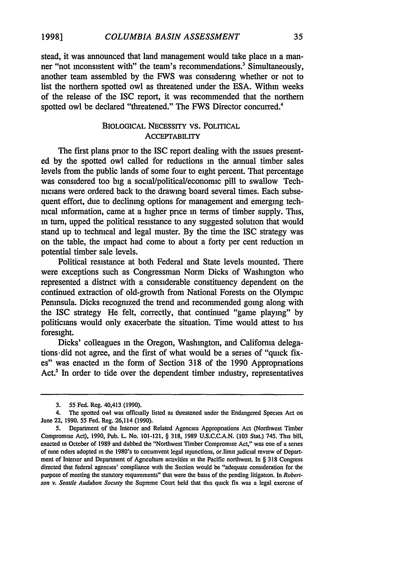stead, it was announced that land management would take place in a manner "not inconsistent with" the team's recommendations.<sup>3</sup> Simultaneously, another team assembled by the FWS was considering whether or not to list the northern spotted owl as threatened under the ESA. Within weeks of the release of the ISC report, it was recommended that the northern spotted owl be declared "threatened." The FWS Director concurred.<sup>4</sup>

## BIOLOGICAL NECESSITY VS. POLITICAL **ACCEPTABILITY**

The first plans prior to the ISC report dealing with the issues presented by the spotted owl called for reductions in the annual timber sales levels from the public lands of some four to eight percent. That percentage was considered too big a social/political/economic pill to swallow Technicians were ordered back to the drawing board several times. Each subsequent effort, due to declining options for management and emerging technical information, came at a higher price in terms of timber supply. This, in turn, upped the political resistance to any suggested solution that would stand up to technical and legal muster. By the time the ISC strategy was on the table, the impact had come to about a forty per cent reduction in potential timber sale levels.

Political resistance at both Federal and State levels mounted. There were exceptions such as Congressman Norm Dicks of Washington who represented a district with a considerable constituency dependent on the continued extraction of old-growth from National Forests on the Olympic Peninsula. Dicks recognized the trend and recommended going along with the ISC strategy He felt, correctly, that continued "game playing" by politicians would only exacerbate the situation. Time would attest to his foresight.

Dicks' colleagues in the Oregon, Washington, and California delegations .did not agree, and the first of what would be a series of "quick fixes" was enacted in the form of Section 318 of the 1990 Appropriations Act.<sup>5</sup> In order to tide over the dependent timber industry, representatives

<sup>3.</sup> **55** Fed. Reg. 40,413 (1990).

<sup>4.</sup> The spotted owl was officially listed as threatened under the Endangered Species Act on June 22, 1990. **55** Fed. Reg. 26,114 (1990).

<sup>5.</sup> Department of the Interior and Related Agencies Appropriations Act (Northwest Timber Compromise Act), 1990, Pub. L. No. 101-121, § 318, 1989 U.S.C.C.A.N. (103 Stat.) 745. This bill, enacted in October of 1989 and dubbed the "Northwest Timber Compromise Act," was one of a series of nine riders adopted in the 1980's to circumvent legal injunctions, or.limit judicial review of Department of Interior and Department of Agriculture activities in the Pacific northwest. In § **318** Congress directed that federal agencies' compliance with the Section would be "adequate consideration for the purpose of meeting the statutory requirements" that were the basis of the pending litigation. In *Robertson v. Seattle Audubon Society* the Supreme Court held that this quick fix was a legal exercise of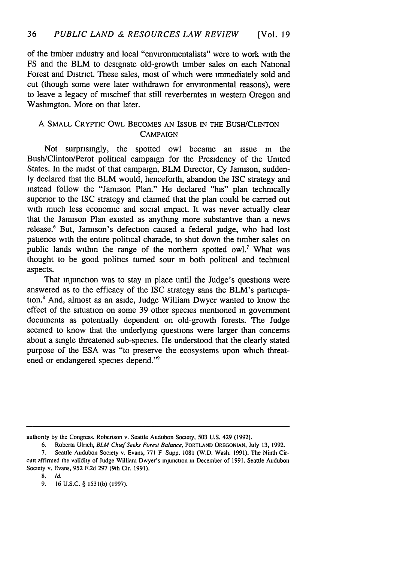of the timber industry and local "environmentalists" were to work with the FS and the BLM to designate old-growth timber sales on each National Forest and District. These sales, most of which were immediately sold and cut (though some were later withdrawn for environmental reasons), were to leave a legacy of mischief that still reverberates in western Oregon and Washington. More on that later.

## A SMALL CRYPTIC OWL BECOMES AN ISSUE IN THE BUSH/CLINTON **CAMPAIGN**

Not surprisingly, the spotted owl became an issue in the Bush/Clinton/Perot political campaign for the Presidency of the United States. In the midst of that campaign, BLM Director, Cy Jamison, suddenly declared that the BLM would, henceforth, abandon the ISC strategy and instead follow the "Jamison Plan." He declared "his" plan technically superior to the ISC strategy and claimed that the plan could be carried out with much less economic and social impact. It was never actually clear that the Jamison Plan existed as anything more substantive than a news release.6 But, Jamison's defection caused a federal judge, who had lost patience with the entire political charade, to shut down the timber sales on public lands within the range of the northern spotted owl.<sup>7</sup> What was thought to be good politics turned sour in both political and technical aspects.

That injunction was to stay in place until the Judge's questions were answered as to the efficacy of the ISC strategy sans the BLM's participation.8 And, almost as an aside, Judge William Dwyer wanted to know the effect of the situation on some 39 other species mentioned in government documents as potentially dependent on old-growth forests. The Judge seemed to know that the underlying questions were larger than concerns about a single threatened sub-species. He understood that the clearly stated purpose of the ESA was "to preserve the ecosystems upon which threatened or endangered species depend."<sup>9</sup>

authority by the Congress. Robertson v. Seattle Audubon Society, 503 U.S. 429 (1992).

<sup>6.</sup> Roberta Ulrich, *BLM Chief Seeks Forest Balance,* PORTLAND **OREGONIAN,** July 13, 1992.

<sup>7.</sup> Seattle Audubon Society v. Evans, 771 F Supp. 1081 (W.D. Wash. 1991). The Ninth Circuit affirmed the validity of Judge William Dwyer's injunction in December of 1991. Seattle Audubon Society v. Evans, 952 F.2d 297 (9th Cir. 1991).

<sup>8.</sup> *Id.*

<sup>9. 16</sup> U.S.C. § 1531(b) (1997).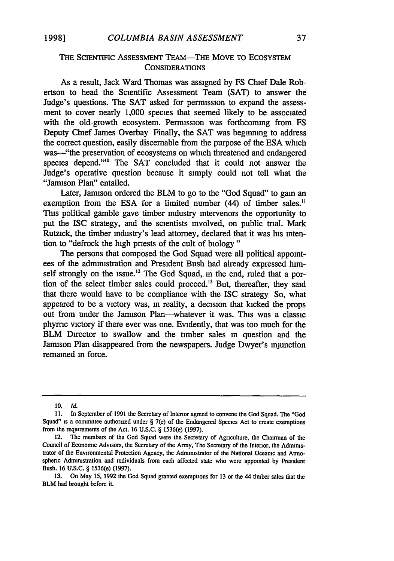## THE SCIENTIFIC ASSESSMENT TEAM-THE MOVE TO ECOSYSTEM **CONSIDERATIONS**

As a result, Jack Ward Thomas was assigned by FS Chief Dale Robertson to head the Scientific Assessment Team (SAT) to answer the Judge's questions. The SAT asked for permission to expand the assessment to cover nearly 1,000 species that seemed likely to be associated with the old-growth ecosystem. Permission was forthcoming from FS Deputy Chief James Overbay Finally, the SAT was beginning to address the correct question, easily discemable from the purpose of the ESA which was—"the preservation of ecosystems on which threatened and endangered species depend."<sup>10</sup> The SAT concluded that it could not answer the Judge's operative question because it simply could not tell what the "Jamison Plan" entailed.

Later, Jamison ordered the BLM to go to the "God Squad" to gain an exemption from the ESA for a limited number (44) of timber sales." This political gamble gave timber industry intervenors the opportunity to put the ISC strategy, and the scientists involved, on public trial. Mark Rutzick, the timber industry's lead attorney, declared that it was his intention to "defrock the high priests of the cult of biology"

The persons that composed the God Squad were all political appointees of the administration and President Bush had already expressed himself strongly on the issue.<sup>12</sup> The God Squad, in the end, ruled that a portion of the select timber sales could proceed.'3 But, thereafter, they said that there would have to be compliance with the ISC strategy So, what appeared to be a victory was, in reality, a decision that kicked the props out from under the Jamison Plan-whatever it was. This was a classic phyrmc victory if there ever was one. Evidently, that was too much for the BLM Director to swallow and the timber sales in question and the Jamison Plan disappeared from the newspapers. Judge Dwyer's injunction remained in force.

**<sup>10.</sup>** *Id.*

**<sup>11.</sup>** In September of 1991 the Secretary of Interior agreed to convene the God Squad. The "God Squad" is a committee authorized under § 7(e) of the Endangered Species Act to create exemptions from the requirements of the **ACL** 16 U.S.C. § 1536(e) (1997).

<sup>12.</sup> The members of the God Squad were the Secretary of Agriculture, the Chairman of the Council of Economic Advisors, the Secretary of the Army, The Secretary of the Intenor, the Administrator of the Environmental Protection Agency, the Administrator of the National Oceanic and Atmospheric Administration and individuals from each affected state who were appointed by President Bush. 16 **U.S.C.** § 1536(e) (1997).

<sup>13.</sup> On May 15, 1992 the God Squad granted exemptions for 13 or the 44 timber sales that the BLM had brought before it.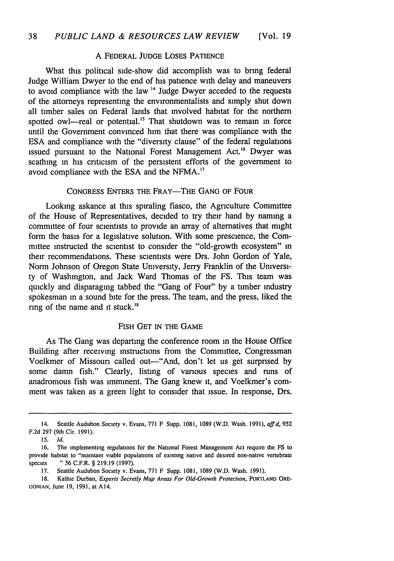## A FEDERAL JUDGE LOSES PATIENCE

What this political side-show did accomplish was to bring federal Judge William Dwyer to the end of his patience with delay and maneuvers to avoid compliance with the law **"** Judge Dwyer acceded to the requests of the attorneys representing the environmentalists and simply shut down all timber sales on Federal lands that involved habitat for the northern spotted owl—real or potential.<sup>15</sup> That shutdown was to remain in force until the Government convinced him that there was compliance with the ESA and compliance with the "diversity clause" of the federal regulations issued pursuant to the National Forest Management Act.<sup>16</sup> Dwyer was scathing in his criticism of the persistent efforts of the government to avoid compliance with the ESA and the NFMA."7

## CONGRESS ENTERS THE FRAY-THE GANG OF FOUR

Looking askance at this spiraling fiasco, the Agriculture Committee of the House of Representatives, decided to try their hand by naming a committee of four scientists to provide an array of alternatives that might form the basis for a legislative solution. With some prescience, the Committee instructed the scientist to consider the "old-growth ecosystem" in their recommendations. These scientists were Drs. John Gordon of Yale, Norm Johnson of Oregon State University, Jerry Franklin of the University of Washington, and Jack Ward Thomas of the FS. This team was quickly and disparaging tabbed the "Gang of Four" by a timber industry spokesman in a sound bite for the press. The team, and the press, liked the ring of the name and it stuck.<sup>18</sup>

#### FISH GET IN THE GAME

As The Gang was departing the conference room in the House Office Building after receiving instructions from the Committee, Congressman Voelkmer of Missouri called out-"And, don't let us get surprised by some damn fish." Clearly, listing of various species and runs of anadromous fish was imminent. The Gang knew it, and Voelkmer's comment was taken as a green light to consider that issue. In response, Drs.

<sup>14.</sup> Seattle Audubon Society v. Evans, 771 F Supp. **1081,** 1089 (W.D. Wash. 1991), *affd,* 952 F.2d 297 (9th Cir. 1991).

<sup>15.</sup> *Id.*

**<sup>16.</sup>** The implementing regulations for the National Forest Management Act require the FS to provide habitat to "maintain viable populations of existing native and desired non-native vertebrate species " 36 C.F.R. § 219.19 (1997).

<sup>17.</sup> Seattle Audubon Society v. Evans, 771 F Supp. 1081, 1089 (W.D. Wash. 1991).

<sup>18.</sup> Kathie Durban, *Experts Secretly Map Areas For Old-Growth Protection,* PORTLAND ORE-**GONIAN,** June 19, 1991, at A14.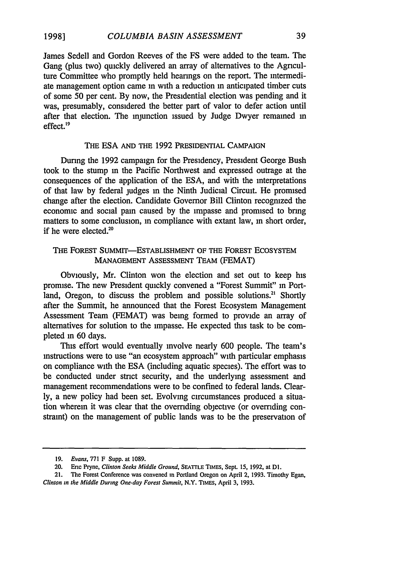James Sedell and Gordon Reeves of the FS were added to the team. The Gang (plus two) quickly delivered an array of alternatives to the Agriculture Committee who promptly held hearings on the report. The intermediate management option came in with a reduction in anticipated timber cuts of some 50 per cent. By now, the Presidential election was pending and it was, presumably, considered the better part of valor to defer action until after that election. The injunction issued by Judge Dwyer remained in effect.'<sup>9</sup>

#### THE ESA AND THE 1992 PRESIDENTIAL CAMPAIGN

During the 1992 campaign for the Presidency, President George Bush took to the stump m the Pacific Northwest and expressed outrage at the consequences of the application of the ESA, and with the interpretations of that law by federal judges in the Ninth Judicial Circuit. He promised change after the election. Candidate Governor Bill Clinton recognized the economic and social pain caused by the impasse and promised to bring matters to some conclusion, in compliance with extant law, in short order, if he were elected.<sup>20</sup>

## THE FOREST SUMMIT-ESTABLISHMENT OF THE FOREST ECOSYSTEM MANAGEMENT ASSESSMENT TEAM (FEMAT)

Obviously, Mr. Clinton won the election and set out to keep his promise. The new President quickly convened a "Forest Summit" in Portland, Oregon, to discuss the problem and possible solutions.<sup>21</sup> Shortly after the Summit, he announced that the Forest Ecosystem Management Assessment Team (FEMAT) was being formed to provide an array of alternatives for solution to the impasse. He expected this task to be completed *in* 60 days.

This effort would eventually involve nearly 600 people. The team's instructions were to use "an ecosystem approach" with particular emphasis on compliance with the ESA (including aquatic species). The effort was to be conducted under strict security, and the underlying assessment and management recommendations were to be confined to federal lands. Clearly, a new policy had been set. Evolving circumstances produced a situation wherein it was clear that the overriding objective (or overriding constraint) on the management of public lands was to be the preservation of

**<sup>19.</sup>** *Evans,* **771** F Supp. at **1089.**

<sup>20.</sup> Eric Pryne, *Clinton Seeks Middle Ground,* **SEATTLE TIMES, Sept. 15, 1992,** at **Dl.**

<sup>21.</sup> The Forest Conference was convened in Portland Oregon on April 2, 1993. Timothy Egan, *Clinton in the Middle During One-day Forest Summit,* N.Y. TIMES, April **3, 1993.**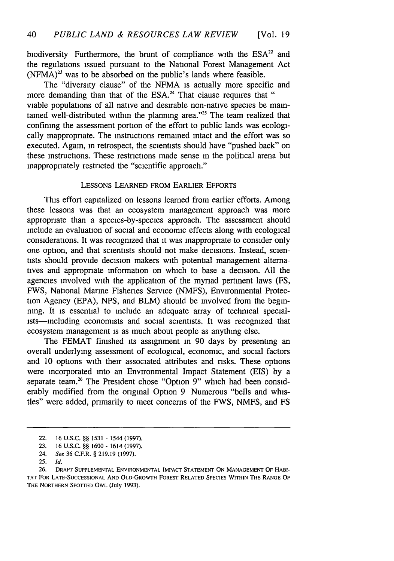biodiversity Furthermore, the brunt of compliance with the  $ESA<sup>22</sup>$  and the regulations issued pursuant to the National Forest Management Act  $(NFMA)^{23}$  was to be absorbed on the public's lands where feasible.

The "diversity clause" of the NFMA is actually more specific and more demanding than that of the ESA.<sup>24</sup> That clause requires that " viable populations of all native and desirable non-native species be maintained well-distributed within the planning area."<sup>25</sup> The team realized that confining the assessment portion of the effort to public lands was ecologically inappropriate. The instructions remained intact and the effort was so executed. Again, in retrospect, the scientists should have "pushed back" on these instructions. These restrictions made sense in the political arena but inappropriately restricted the "scientific approach."

#### LESSONS **LEARNED** FROM EARLIER EFFORTS

This effort capitalized on lessons learned from earlier efforts. Among these lessons was that an ecosystem management approach was more appropriate than a species-by-species approach. The assessment should include an evaluation of social and economic effects along with ecological considerations. It was recognized that it was inappropriate to consider only one option, and that scientists should not make decisions. Instead, scientists should provide decision makers with potential management alternatives and appropriate information on which to base a decision. All the agencies involved with the application of the myriad pertinent laws (FS, FWS, National Marine Fisheries Service (NMFS), Environmental Protection Agency (EPA), NPS, and BLM) should be involved from the beginning. It is essential to include an adequate array of technical specialists-including economists and social scientists. It was recognized that ecosystem management is as much about people as anything else.

The FEMAT finished its assignment in 90 days by presenting an overall underlying assessment of ecological, economic, and social factors and 10 options with their associated attributes and risks. These options were incorporated into an Environmental Impact Statement (EIS) by a separate team.<sup>26</sup> The President chose "Option 9" which had been considerably modified from the original Option 9 Numerous "bells and whistles" were added, primarily to meet concerns of the FWS, NMFS, and FS

<sup>22.</sup> **16 U.S.C.** §§ **1531** - 1544 **(1997).**

**<sup>23. 16</sup> U.S.C.** §§ **1600** - 1614 **(1997).**

<sup>24.</sup> *See* **36** C.F.R. § **219.19 (1997).**

<sup>25.</sup> *Id.*

**<sup>26.</sup>** DRAFT **SUPPLEMENTAL ENVIRONMENTAL** IMPACT **STATEMENT ON MANAGEMENT** OF HABI-TAT FOR **LATE-SUCCESSIONAL AND** OLD-GRowTH FOREST RELATED **SPECIES** WITHIN THE **RANGE** OF THE NORTHERN SPOTTED OWL (July 1993).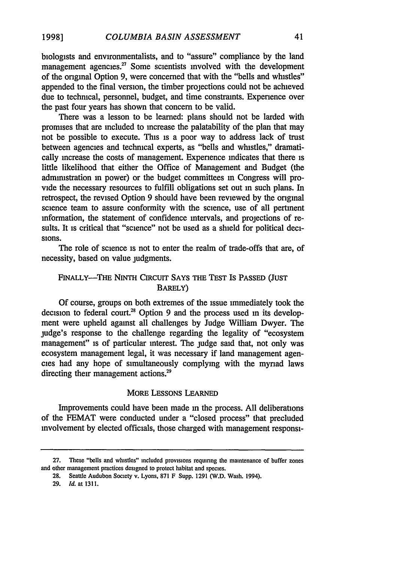biologists and environmentalists, and to "assure" compliance by the land management agencies.<sup>27</sup> Some scientists involved with the development of the original Option 9, were concerned that with the "bells and whistles" appended to the final version, the timber projections could not be achieved due to technical, personnel, budget, and time constraints. Experience over the past four years has shown that concern to be valid.

There was a lesson to be learned: plans should not be larded with promises that are included to increase the palatability of the plan that may not be possible to execute. This is a poor way to address lack of trust between agencies and technical experts, as "bells and whistles," dramatically increase the costs of management. Experience indicates that there is little likelihood that either the Office of Management and Budget (the administration in power) or the budget committees in Congress will provide the necessary resources to fulfill obligations set out in such plans. In retrospect, the revised Option 9 should have been reviewed by the original science team to assure conformity with the science, use of all pertinent information, the statement of confidence intervals, and projections of results. It is critical that "science" not be used as a shield for political decisions.

The role of science is not to enter the realm of trade-offs that are, of necessity, based on value judgments.

## **FINALLY-THE NINTH CiRcuIT SAYS THE TEST IS PASSED (JUST** BARELY)

Of course, groups on both extremes of the issue immediately took the decision to federal court.<sup>28</sup> Option 9 and the process used in its development were upheld against all challenges by Judge William Dwyer. The judge's response to the challenge regarding the legality of "ecosystem management" is of particular interest. The judge said that, not only was ecosystem management legal, it was necessary if land management agencies had any hope of simultaneously complying with the myriad laws directing their management actions.<sup>29</sup>

#### MORE LESSONS **LEARNED**

Improvements could have been made in the process. All deliberations of the FEMAT were conducted under a "closed process" that precluded involvement by elected officials, those charged with management responsi-

**<sup>27.</sup>** These "bells and whistles" included provisions requiring the maintenance of buffer zones and other management practices designed to protect habitat and species.

**<sup>28.</sup>** Seattle Audubon Society v. Lyons, 871 F Supp. 1291 (W.D. Wash. 1994).

**<sup>29.</sup>** Id. at 1311.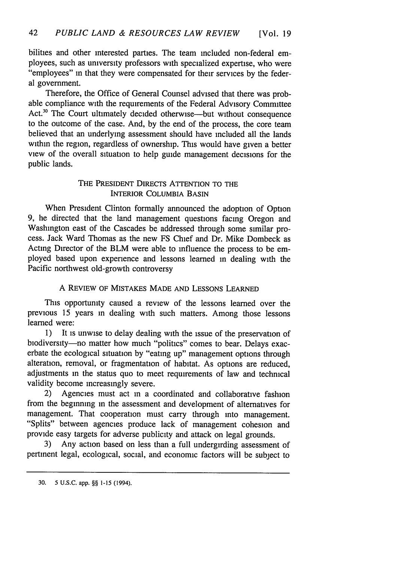bilities and other interested parties. The team included non-federal employees, such as university professors with specialized expertise, who were "employees" in that they were compensated for their services by the federal government.

Therefore, the Office of General Counsel advised that there was probable compliance with the requirements of the Federal Advisory Committee Act.<sup>30</sup> The Court ultimately decided otherwise—but without consequence to the outcome of the case. And, by the end of the process, the core team believed that an underlying assessment should have included all the lands within the region, regardless of ownership. This would have given a better view of the overall situation to help guide management decisions for the public lands.

## THE PRESIDENT DIRECTS ATTENTION TO THE INTERIOR COLUMBIA BASIN

When President Clinton formally announced the adoption of Option 9, he directed that the land management questions facing Oregon and Washington east of the Cascades be addressed through some similar process. Jack Ward Thomas as the new FS Chief and Dr. Mike Dombeck as Acting Director of the BLM were able to influence the process to be employed based upon experience and lessons learned in dealing with the Pacific northwest old-growth controversy

## A REVIEW OF MISTAKES MADE AND LESSONS LEARNED

This opportunity caused a review of the lessons learned over the previous 15 years in dealing with such matters. Among those lessons learned were:

1) It is unwise to delay dealing with the issue of the preservation of biodiversity-no matter how much "politics" comes to bear. Delays exacerbate the ecological situation by "eating up" management options through alteration, removal, or fragmentation of habitat. As options are reduced, adjustments in the status quo to meet requirements of law and technical validity become increasingly severe.

2) Agencies must act in a coordinated and collaborative fashion from the beginning in the assessment and development of alternatives for management. That cooperation must carry through into management. "Splits" between agencies produce lack of management cohesion and provide easy targets for adverse publicity and attack on legal grounds.

3) Any action based on less than a full undergirding assessment of pertinent legal, ecological, social, and economic factors will be subject to

<sup>30. 5</sup> U.S.C. app. §§ **1-15** (1994).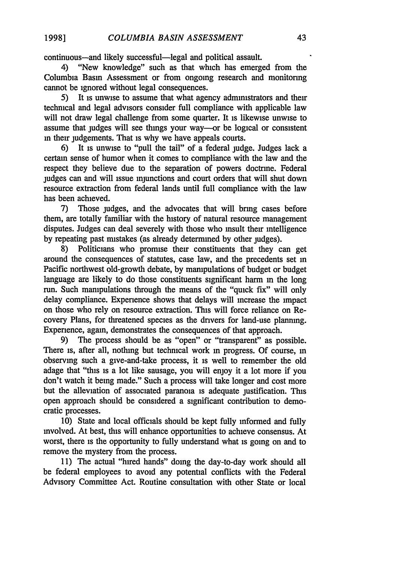continuous-and likely successful-legal and political assault.<br>4) "New knowledge" such as that which has emerged

"New knowledge" such as that which has emerged from the Columbia Basin Assessment or from ongoing research and monitoring cannot be ignored without legal consequences.

5) It is unwise to assume that what agency administrators and their technical and legal advisors consider full compliance with applicable law will not draw legal challenge from some quarter. It is likewise unwise to assume that judges will see things your way—or be logical or consistent in their judgements. That is why we have appeals courts.

6) It is unwise to "pull the tail" of a federal judge. Judges lack a certain sense of humor when it comes to compliance with the law and the respect they believe due to the separation of powers doctrine. Federal judges can and will issue injunctions and court orders that will shut down resource extraction from federal lands until full compliance with the law has been achieved.

7) Those judges, and the advocates that will bring cases before them, are totally familiar with the history of natural resource management disputes. Judges can deal severely with those who insult their intelligence by repeating past mistakes (as already determined by other judges).

8) Politicians who promise their constituents that they can get around the consequences of statutes, case law, and the precedents set in Pacific northwest old-growth debate, by manipulations of budget or budget language are likely to do those constituents significant harm in the long run. Such manipulations through the means of the "quick fix" will only delay compliance. Experience shows that delays will increase the impact on those who rely on resource extraction. This will force reliance on Recovery Plans, for threatened species as the drivers for land-use planning. Experience, again, demonstrates the consequences of that approach.

9) The process should be as "open" or "transparent" as possible. There is, after all, nothing but technical work in progress. Of course, in observing such a give-and-take process, it is well to remember the old adage that "this is a lot like sausage, you will enjoy it a lot more if you don't watch it being made." Such a process will take longer and cost more but the alleviation of associated paranoia is adequate justification. This open approach should be considered a significant contribution to democratic processes.

10) State and local officials should be kept fully informed and fully involved. At best, this will enhance opportunities to achieve consensus. At worst, there is the opportunity to fully understand what is going on and to remove the mystery from the process.

11) The actual "hired hands" doing the day-to-day work should all be federal employees to avoid any potential conflicts with the Federal Advisory Committee Act. Routine consultation with other State or local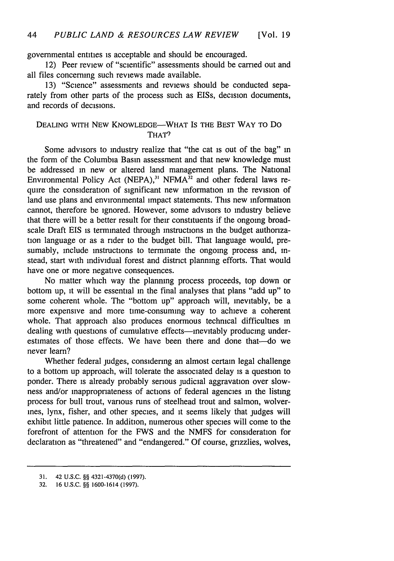governmental entities is acceptable and should be encouraged.

12) Peer review of "scientific" assessments should be carried out and all files concerning such reviews made available.

13) "Science" assessments and reviews should be conducted separately from other parts of the process such as EISs, decision documents, and records of decisions.

## DEALING WITH NEW KNOWLEDGE-WHAT IS THE BEST WAY TO DO THAT?

Some advisors to industry realize that "the cat is out of the bag" in the form of the Columbia Basin assessment and that new knowledge must be addressed in new or altered land management plans. The National Environmental Policy Act (NEPA),<sup>31</sup> NFMA<sup>32</sup> and other federal laws require the consideration of significant new information in the revision of land use plans and environmental impact statements. This new information cannot, therefore be ignored. However, some advisors to industry believe that there will be a better result for their constituents if the ongoing broadscale Draft EIS is terminated through instructions in the budget authorization language or as a rider to the budget bill. That language would, presumably, include instructions to terminate the ongoing process and, instead, start with individual forest and district planning efforts. That would have one or more negative consequences.

No matter which way the planning process proceeds, top down or bottom up, it will be essential in the final analyses that plans "add up" to some coherent whole. The "bottom up" approach will, inevitably, be a more expensive and more time-consuming way to achieve a coherent whole. That approach also produces enormous technical difficulties in dealing with questions of cumulative effects—inevitably producing underestimates of those effects. We have been there and done that-do we never learn?

Whether federal judges, considering an almost certain legal challenge to a bottom up approach, will tolerate the associated delay is a question to ponder. There is already probably serious judicial aggravation over slowness and/or inappropriateness of actions of federal agencies in the listing process for bull trout, various runs of steelhead trout and salmon, wolverines, lynx, fisher, and other species, and it seems likely that judges will exhibit little patience. In addition, numerous other species will come to the forefront of attention for the FWS and the NMFS for consideration for declaration as "threatened" and "endangered." Of course, grizzlies, wolves,

**<sup>31.</sup>** 42 U.S.C. §§ 4321-4370(d) (1997).

<sup>32. 16</sup> U.S.C. §§ 1600-1614 (1997).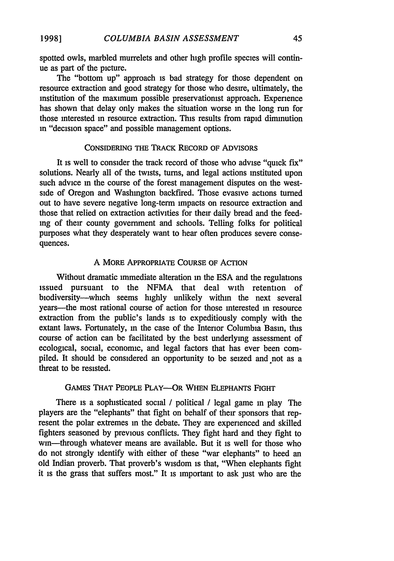spotted owls, marbled murrelets and other high profile species will continue as part of the picture.

The "bottom up" approach is bad strategy for those dependent on resource extraction and good strategy for those who desire, ultimately, the institution of the maximum possible preservationist approach. Experience has shown that delay only makes the situation worse in the long run for those interested in resource extraction. This results from rapid diminution in "decision space" and possible management options.

## CONSIDERING **THE TRACK RECORD** OF **ADVISORS**

It is well to consider the track record of those who advise "quick fix" solutions. Nearly all of the twists, turns, and legal actions instituted upon such advice m the course of the forest management disputes on the westside of Oregon and Washington backfired. Those evasive actions turned out to have severe negative long-term impacts on resource extraction and those that relied on extraction activities for their dally bread and the feeding of their county government and schools. Telling folks for political purposes what they desperately want to hear often produces severe consequences.

#### A MORE APPROPRIATE **COURSE** OF ACTION

Without dramatic immediate alteration in the ESA and the regulations issued pursuant to the NFMA that deal with retention of biodiversity-which seems highly unlikely within the next several years-the most rational course of action for those interested in resource extraction from the public's lands is to expeditiously comply with the extant laws. Fortunately, m the case of the Interior Columbia Basin, this course of action can be facilitated by the best underlying assessment of ecological, social, economic, and legal factors that has ever been compiled. It should be considered an opportunity to be seized and not as a threat to be resisted.

#### GAMES THAT PEOPLE PLAY-OR **WHEN ELEPHANTS** FIGHT

There is a sophisticated social / political */* legal game in play The players are the "elephants" that fight on behalf of their sponsors that represent the polar extremes in the debate. They are experienced and skilled fighters seasoned by previous conflicts. They fight hard and they fight to win-through whatever means are available. But it is well for those who do not strongly identify with either of these "war elephants" to heed an old Indian proverb. That proverb's wisdom is that, "When elephants fight it is the grass that suffers most." It is important to ask just who are the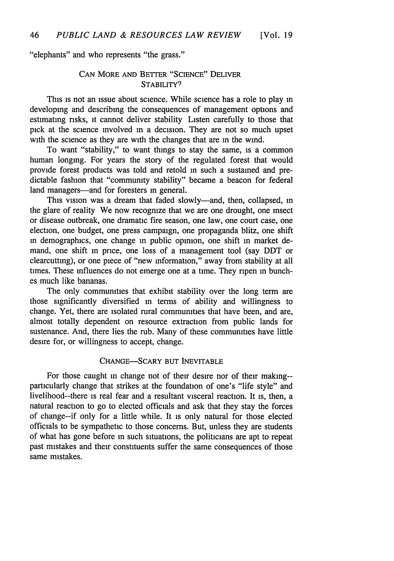"elephants" and who represents "the grass."

## CAN MORE AND BETTER "SCIENCE" DELIVER STABILITY<sup>9</sup>

This is not an issue about science. While science has a role to play in developing and describing the consequences of management options and estimating risks, it cannot deliver stability Listen carefully to those that pick at the science involved in a decision. They are not so much upset with the science as they are with the changes that are in the wind.

To want "stability," to want things to stay the same, is a common human longing. For years the story of the regulated forest that would provide forest products was told and retold in such a sustained and predictable fashion that "community stability" became a beacon for federal land managers-and for foresters in general.

This vision was a dream that faded slowly-and, then, collapsed, in the glare of reality We now recognize that we are one drought, one insect or disease outbreak, one dramatic fire season, one law, one court case, one election, one budget, one press campaign, one propaganda blitz, one shift in demographics, one change in public opinion, one shift in market demand, one shift in price, one loss of a management tool (say DDT or clearcutting), or one piece of "new information," away from stability at all times. These influences do not emerge one at a time. They ripen in bunches much like bananas.

The only communities that exhibit stability over the long term are those significantly diversified in terms of ability and willingness to change. Yet, there are isolated rural communities that have been, and are, almost totally dependent on resource extraction from public lands for sustenance. And, there lies the rub. Many of these communities have little desire for, or willingness to accept, change.

#### CHANGE-SCARY BUT INEVITABLE

For those caught in change not of their desire nor of their making-particularly change that strikes at the foundation of one's "life style" and livelihood--there is real fear and a resultant visceral reaction. It is, then, a natural reaction to go to elected officials and ask that they stay the forces of change--if only for a little while. It is only natural for those elected officials to be sympathetic to those concerns. But, unless they are students of what has gone before in such situations, the politicians are apt to repeat past mistakes and their constituents suffer the same consequences of those same mistakes.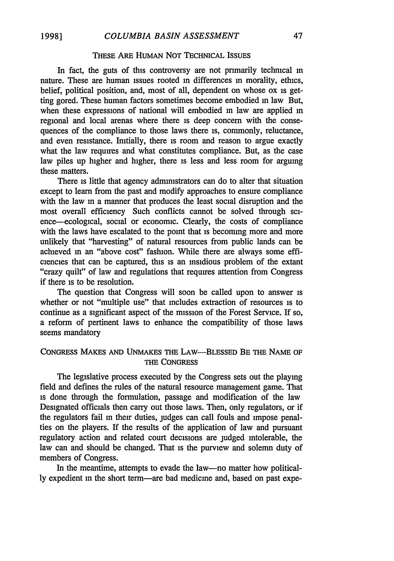#### THESE ARE HUMAN **NOT** TECHNICAL ISSUES

In fact, the guts of this controversy are not primarily technical in nature. These are human issues rooted in differences in morality, ethics, belief, political position, and, most of all, dependent on whose ox is getting gored. These human factors sometimes become embodied in law But, when these expressions of national will embodied in law are applied in regional and local arenas where there is deep concern with the consequences of the compliance to those laws there is, commonly, reluctance, and even resistance. Initially, there is room and reason to argue exactly what the law requires and what constitutes compliance. But, as the case law piles up higher and higher, there is less and less room for arguing these matters.

There is little that agency administrators can do to alter that situation except to learn from the past and modify approaches to ensure compliance with the law in a manner that produces the least social disruption and the most overall efficiency Such conflicts cannot be solved through science-ecological, social or economic. Clearly, the costs of compliance with the laws have escalated to the point that is becoming more and more unlikely that "harvesting" of natural resources from public lands can be achieved in an "above cost" fashion. While there are always some efficiencies that can be captured, this is an insidious problem of the extant "crazy quilt" of law and regulations that requires attention from Congress if there is to be resolution.

The question that Congress will soon be called upon to answer is whether or not "multiple use" that includes extraction of resources is to continue as a significant aspect of the mission of the Forest Service. If so, a reform of pertinent laws to enhance the compatibility of those laws seems mandatory

## CONGRESS MAKES AND UNMAKES THE LAW-BLESSED BE THE NAME OF THE CONGRESS

The legislative process executed by the Congress sets out the playing field and defines the rules of the natural resource management game. That is done through the formulation, passage and modification of the law Designated officials then carry out those laws. Then, only regulators, or if the regulators fail in their duties, judges can call fouls and impose penalties on the players. If the results of the application of law and pursuant regulatory action and related court decisions are judged intolerable, the law can and should be changed. That is the purview and solemn duty of members of Congress.

In the meantime, attempts to evade the law-no matter how politically expedient in the short term-are bad medicine and, based on past expe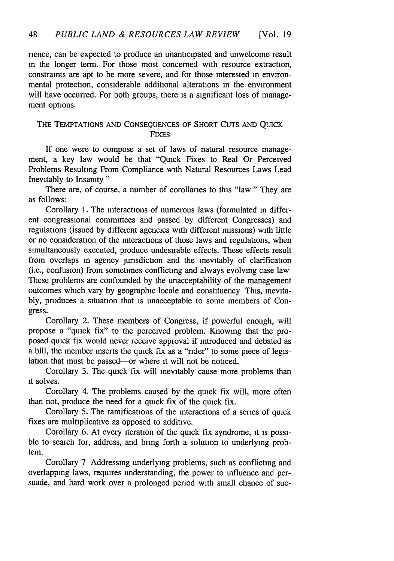rience, can be expected to produce an unanticipated and unwelcome result in the longer term. For those most concerned with resource extraction, constraints are apt to be more severe, and for those interested in environmental protection, considerable additional alterations in the environment will have occurred. For both groups, there is a significant loss of management options.

## THE **TEMPTATIONS AND CONSEQUENCES** OF SHORT **CUTS AND** QUICK **FIXES**

If one were to compose a set of laws of natural resource management, a key law would be that "Quick Fixes to Real Or Perceived Problems Resulting From Compliance with Natural Resources Laws Lead Inevitably to Insanity"

There are, of course, a number of corollaries to this "law" They are as follows:

Corollary **1.** The interactions of numerous laws (formulated in different congressional committees and passed by different Congresses) and regulations (issued by different agencies with different missions) with little or no consideration of the interactions of those laws and regulations, when simultaneously executed, produce undesirable effects. These effects result from overlaps in agency jurisdiction and the inevitably of clarification (i.e., confusion) from sometimes conflicting and always evolving case law These problems are confounded by the unacceptability of the management outcomes which vary by geographic locale and constituency This, inevitably, produces a situation that is unacceptable to some members of Congress.

Corollary 2. These members of Congress, if powerful enough, will propose a "quick fix" to the perceived problem. Knowing that the proposed quick fix would never receive approval if introduced and debated as a bill, the member inserts the quick fix as a "rider" to some piece of legislation that must be passed-or where **it** will not be noticed.

Corollary 3. The quick fix will inevitably cause more problems than it solves.

Corollary 4. The problems caused by the quick fix will, more often than not, produce the need for a quick fix of the quick fix.

Corollary 5. The ramifications of the interactions of a series of quick fixes are multiplicative as opposed to additive.

Corollary 6. At every iteration of the quick fix syndrome, it is possible to search for, address, and bring forth a solution to underlying problem.

Corollary 7 Addressing underlying problems, such as conflicting and overlapping laws, requires understanding, the power to influence and persuade, and hard work over a prolonged period with small chance of suc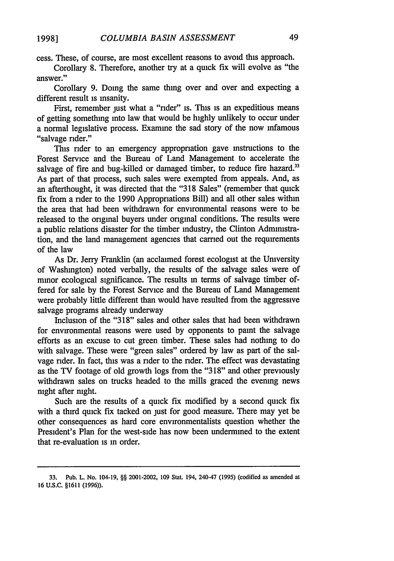cess. These, of course, are most excellent reasons to avoid this approach.

Corollary 8. Therefore, another try at a quick fix will evolve as "the answer."

Corollary 9. Doing the same thing over and over and expecting a different result is insanity.

First, remember just what a "rider" is. This is an expeditious means of getting something into law that would be highly unlikely to occur under a normal legislative process. Examine the sad story of the now infamous "salvage rider."

This rider to an emergency appropriation gave instructions to the Forest Service and the Bureau of Land Management to accelerate the salvage of fire and bug-killed or damaged timber, to reduce fire hazard.<sup>33</sup> As part of that process, such sales were exempted from appeals. And, as an afterthought, it was directed that the "318 Sales" (remember that quick fix from a rider to the 1990 Appropriations Bill) and all other sales within the area that had been withdrawn for environmental reasons were to be released to the original buyers under original conditions. The results were a public relations disaster for the timber industry, the Clinton Administration, and the land management agencies that carried out the requirements of the law

As Dr. Jerry Franklin (an acclaimed forest ecologist at the University of Washington) noted verbally, the results of the salvage sales were of minor ecological significance. The results in terms of salvage timber offered for sale by the Forest Service and the Bureau of Land Management were probably little different than would have resulted from the aggressive salvage programs already underway

Inclusion of the "318" sales and other sales that had been withdrawn for environmental reasons were used by opponents to paint the salvage efforts as an excuse to cut green timber. These sales had nothing to do with salvage. These were "green sales" ordered by law as part of the salvage rider. In fact, this was a nder to the rider. The effect was devastating as the TV footage of old growth logs from the "318" and other previously withdrawn sales on trucks headed to the mills graced the evening news night after night.

Such are the results of a quick fix modified by a second quick fix with a third quick fix tacked on just for good measure. There may yet be other consequences as hard core environmentalists question whether the President's Plan for the west-side has now been undermined to the extent that re-evaluation is in order.

**<sup>33.</sup>** Pub. **L. No.** 104-19, §§ 2001-2002, **109** Stat. 194, 240-47 **(1995)** (codified as amended at 16 U.S.C. §1611 (1996)).